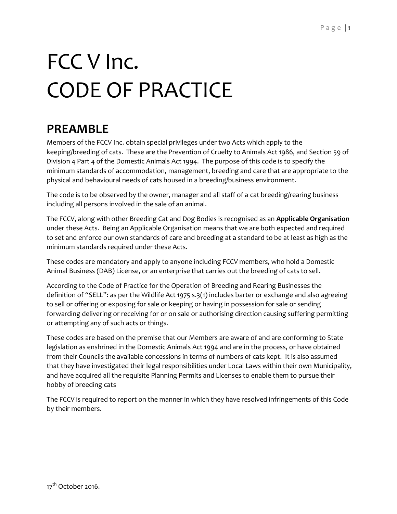# FCC V Inc. CODE OF PRACTICE

# **PREAMBLE**

Members of the FCCV Inc. obtain special privileges under two Acts which apply to the keeping/breeding of cats. These are the Prevention of Cruelty to Animals Act 1986, and Section 59 of Division 4 Part 4 of the Domestic Animals Act 1994. The purpose of this code is to specify the minimum standards of accommodation, management, breeding and care that are appropriate to the physical and behavioural needs of cats housed in a breeding/business environment.

The code is to be observed by the owner, manager and all staff of a cat breeding/rearing business including all persons involved in the sale of an animal.

The FCCV, along with other Breeding Cat and Dog Bodies is recognised as an **Applicable Organisation**  under these Acts. Being an Applicable Organisation means that we are both expected and required to set and enforce our own standards of care and breeding at a standard to be at least as high as the minimum standards required under these Acts.

These codes are mandatory and apply to anyone including FCCV members, who hold a Domestic Animal Business (DAB) License, or an enterprise that carries out the breeding of cats to sell.

According to the Code of Practice for the Operation of Breeding and Rearing Businesses the definition of "SELL": as per the Wildlife Act 1975 s.3(1) includes barter or exchange and also agreeing to sell or offering or exposing for sale or keeping or having in possession for sale or sending forwarding delivering or receiving for or on sale or authorising direction causing suffering permitting or attempting any of such acts or things.

These codes are based on the premise that our Members are aware of and are conforming to State legislation as enshrined in the Domestic Animals Act 1994 and are in the process, or have obtained from their Councils the available concessions in terms of numbers of cats kept. It is also assumed that they have investigated their legal responsibilities under Local Laws within their own Municipality, and have acquired all the requisite Planning Permits and Licenses to enable them to pursue their hobby of breeding cats

The FCCV is required to report on the manner in which they have resolved infringements of this Code by their members.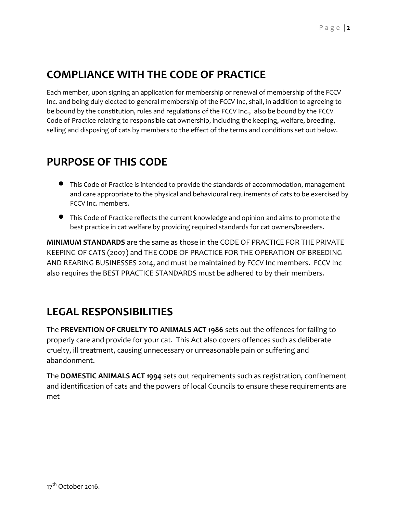# **COMPLIANCE WITH THE CODE OF PRACTICE**

Each member, upon signing an application for membership or renewal of membership of the FCCV Inc. and being duly elected to general membership of the FCCV Inc, shall, in addition to agreeing to be bound by the constitution, rules and regulations of the FCCV Inc., also be bound by the FCCV Code of Practice relating to responsible cat ownership, including the keeping, welfare, breeding, selling and disposing of cats by members to the effect of the terms and conditions set out below.

#### **PURPOSE OF THIS CODE**

- This Code of Practice is intended to provide the standards of accommodation, management and care appropriate to the physical and behavioural requirements of cats to be exercised by FCCV Inc. members.
- This Code of Practice reflects the current knowledge and opinion and aims to promote the best practice in cat welfare by providing required standards for cat owners/breeders.

**MINIMUM STANDARDS** are the same as those in the CODE OF PRACTICE FOR THE PRIVATE KEEPING OF CATS (2007) and THE CODE OF PRACTICE FOR THE OPERATION OF BREEDING AND REARING BUSINESSES 2014, and must be maintained by FCCV Inc members. FCCV Inc also requires the BEST PRACTICE STANDARDS must be adhered to by their members.

#### **LEGAL RESPONSIBILITIES**

The **PREVENTION OF CRUELTY TO ANIMALS ACT 1986** sets out the offences for failing to properly care and provide for your cat. This Act also covers offences such as deliberate cruelty, ill treatment, causing unnecessary or unreasonable pain or suffering and abandonment.

The **DOMESTIC ANIMALS ACT 1994** sets out requirements such as registration, confinement and identification of cats and the powers of local Councils to ensure these requirements are met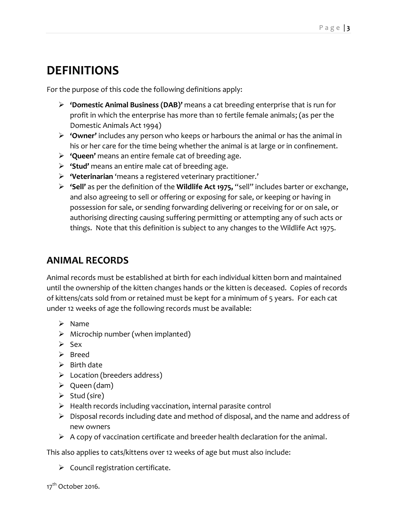# **DEFINITIONS**

For the purpose of this code the following definitions apply:

- **'Domestic Animal Business (DAB)'** means a cat breeding enterprise that is run for profit in which the enterprise has more than 10 fertile female animals; (as per the Domestic Animals Act 1994)
- **'Owner'** includes any person who keeps or harbours the animal or has the animal in his or her care for the time being whether the animal is at large or in confinement.
- **'Queen'** means an entire female cat of breeding age.
- **'Stud'** means an entire male cat of breeding age.
- **'Veterinarian** 'means a registered veterinary practitioner.'
- **'Sell'** as per the definition of the **Wildlife Act 1975,** "sell" includes barter or exchange, and also agreeing to sell or offering or exposing for sale, or keeping or having in possession for sale, or sending forwarding delivering or receiving for or on sale, or authorising directing causing suffering permitting or attempting any of such acts or things. Note that this definition is subject to any changes to the Wildlife Act 1975.

#### **ANIMAL RECORDS**

Animal records must be established at birth for each individual kitten born and maintained until the ownership of the kitten changes hands or the kitten is deceased. Copies of records of kittens/cats sold from or retained must be kept for a minimum of 5 years. For each cat under 12 weeks of age the following records must be available:

- $\triangleright$  Name
- $\triangleright$  Microchip number (when implanted)
- $\triangleright$  Sex
- $\triangleright$  Breed
- $\triangleright$  Birth date
- $\triangleright$  Location (breeders address)
- $\triangleright$  Queen (dam)
- $\triangleright$  Stud (sire)
- $\triangleright$  Health records including vaccination, internal parasite control
- $\triangleright$  Disposal records including date and method of disposal, and the name and address of new owners
- $\triangleright$  A copy of vaccination certificate and breeder health declaration for the animal.

This also applies to cats/kittens over 12 weeks of age but must also include:

 $\triangleright$  Council registration certificate.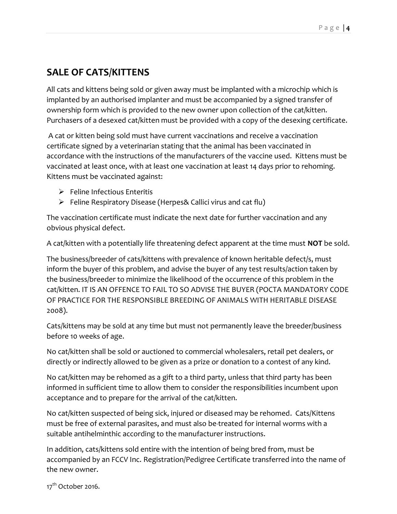#### **SALE OF CATS/KITTENS**

All cats and kittens being sold or given away must be implanted with a microchip which is implanted by an authorised implanter and must be accompanied by a signed transfer of ownership form which is provided to the new owner upon collection of the cat/kitten. Purchasers of a desexed cat/kitten must be provided with a copy of the desexing certificate.

A cat or kitten being sold must have current vaccinations and receive a vaccination certificate signed by a veterinarian stating that the animal has been vaccinated in accordance with the instructions of the manufacturers of the vaccine used. Kittens must be vaccinated at least once, with at least one vaccination at least 14 days prior to rehoming. Kittens must be vaccinated against:

- $\triangleright$  Feline Infectious Enteritis
- $\triangleright$  Feline Respiratory Disease (Herpes& Callici virus and cat flu)

The vaccination certificate must indicate the next date for further vaccination and any obvious physical defect.

A cat/kitten with a potentially life threatening defect apparent at the time must **NOT** be sold.

The business/breeder of cats/kittens with prevalence of known heritable defect/s, must inform the buyer of this problem, and advise the buyer of any test results/action taken by the business/breeder to minimize the likelihood of the occurrence of this problem in the cat/kitten. IT IS AN OFFENCE TO FAIL TO SO ADVISE THE BUYER (POCTA MANDATORY CODE OF PRACTICE FOR THE RESPONSIBLE BREEDING OF ANIMALS WITH HERITABLE DISEASE 2008).

Cats/kittens may be sold at any time but must not permanently leave the breeder/business before 10 weeks of age.

No cat/kitten shall be sold or auctioned to commercial wholesalers, retail pet dealers, or directly or indirectly allowed to be given as a prize or donation to a contest of any kind.

No cat/kitten may be rehomed as a gift to a third party, unless that third party has been informed in sufficient time to allow them to consider the responsibilities incumbent upon acceptance and to prepare for the arrival of the cat/kitten.

No cat/kitten suspected of being sick, injured or diseased may be rehomed. Cats/Kittens must be free of external parasites, and must also be treated for internal worms with a suitable antihelminthic according to the manufacturer instructions.

In addition, cats/kittens sold entire with the intention of being bred from, must be accompanied by an FCCV Inc. Registration/Pedigree Certificate transferred into the name of the new owner.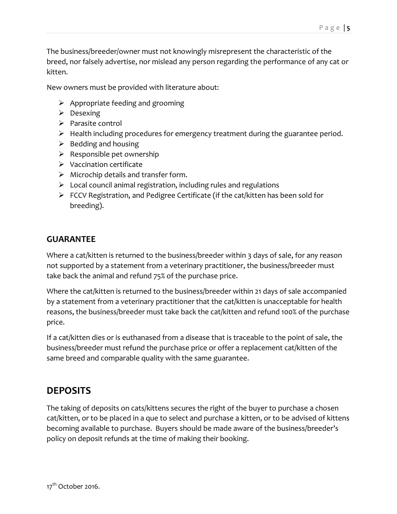The business/breeder/owner must not knowingly misrepresent the characteristic of the breed, nor falsely advertise, nor mislead any person regarding the performance of any cat or kitten.

New owners must be provided with literature about:

- $\triangleright$  Appropriate feeding and grooming
- $\triangleright$  Desexing
- $\triangleright$  Parasite control
- $\triangleright$  Health including procedures for emergency treatment during the guarantee period.
- $\triangleright$  Bedding and housing
- $\triangleright$  Responsible pet ownership
- $\triangleright$  Vaccination certificate
- $\triangleright$  Microchip details and transfer form.
- $\triangleright$  Local council animal registration, including rules and regulations
- $\triangleright$  FCCV Registration, and Pedigree Certificate (if the cat/kitten has been sold for breeding).

#### **GUARANTEE**

Where a cat/kitten is returned to the business/breeder within 3 days of sale, for any reason not supported by a statement from a veterinary practitioner, the business/breeder must take back the animal and refund 75% of the purchase price.

Where the cat/kitten is returned to the business/breeder within 21 days of sale accompanied by a statement from a veterinary practitioner that the cat/kitten is unacceptable for health reasons, the business/breeder must take back the cat/kitten and refund 100% of the purchase price.

If a cat/kitten dies or is euthanased from a disease that is traceable to the point of sale, the business/breeder must refund the purchase price or offer a replacement cat/kitten of the same breed and comparable quality with the same guarantee.

#### **DEPOSITS**

The taking of deposits on cats/kittens secures the right of the buyer to purchase a chosen cat/kitten, or to be placed in a que to select and purchase a kitten, or to be advised of kittens becoming available to purchase. Buyers should be made aware of the business/breeder's policy on deposit refunds at the time of making their booking.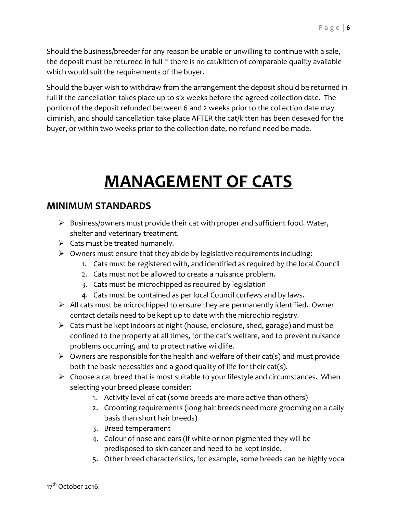Should the business/breeder for any reason be unable or unwilling to continue with a sale, the deposit must be returned in full if there is no cat/kitten of comparable quality available which would suit the requirements of the buyer.

Should the buyer wish to withdraw from the arrangement the deposit should be returned in full if the cancellation takes place up to six weeks before the agreed collection date. The portion of the deposit refunded between 6 and 2 weeks prior to the collection date may diminish, and should cancellation take place AFTER the cat/kitten has been desexed for the buyer, or within two weeks prior to the collection date, no refund need be made.

# **MANAGEMENT OF CATS**

#### **MINIMUM STANDARDS**

- $\triangleright$  Business/owners must provide their cat with proper and sufficient food. Water, shelter and veterinary treatment.
- $\triangleright$  Cats must be treated humanely.
- $\triangleright$  Owners must ensure that they abide by legislative requirements including:
	- 1. Cats must be registered with, and identified as required by the local Council
	- 2. Cats must not be allowed to create a nuisance problem.
	- 3. Cats must be microchipped as required by legislation
	- 4. Cats must be contained as per local Council curfews and by laws.
- $\triangleright$  All cats must be microchipped to ensure they are permanently identified. Owner contact details need to be kept up to date with the microchip registry.
- $\triangleright$  Cats must be kept indoors at night (house, enclosure, shed, garage) and must be confined to the property at all times, for the cat's welfare, and to prevent nuisance problems occurring, and to protect native wildlife.
- $\triangleright$  Owners are responsible for the health and welfare of their cat(s) and must provide both the basic necessities and a good quality of life for their cat(s).
- $\triangleright$  Choose a cat breed that is most suitable to your lifestyle and circumstances. When selecting your breed please consider:
	- 1. Activity level of cat (some breeds are more active than others)
	- 2. Grooming requirements (long hair breeds need more grooming on a daily basis than short hair breeds)
	- 3. Breed temperament
	- 4. Colour of nose and ears (if white or non-pigmented they will be predisposed to skin cancer and need to be kept inside.
	- 5. Other breed characteristics, for example, some breeds can be highly vocal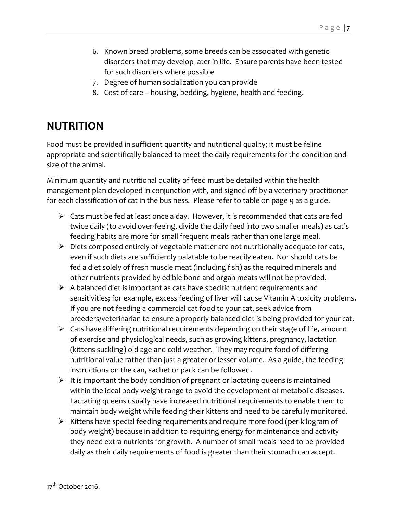- 6. Known breed problems, some breeds can be associated with genetic disorders that may develop later in life. Ensure parents have been tested for such disorders where possible
- 7. Degree of human socialization you can provide
- 8. Cost of care housing, bedding, hygiene, health and feeding.

#### **NUTRITION**

Food must be provided in sufficient quantity and nutritional quality; it must be feline appropriate and scientifically balanced to meet the daily requirements for the condition and size of the animal.

Minimum quantity and nutritional quality of feed must be detailed within the health management plan developed in conjunction with, and signed off by a veterinary practitioner for each classification of cat in the business. Please refer to table on page 9 as a guide.

- $\triangleright$  Cats must be fed at least once a day. However, it is recommended that cats are fed twice daily (to avoid over-feeing, divide the daily feed into two smaller meals) as cat's feeding habits are more for small frequent meals rather than one large meal.
- $\triangleright$  Diets composed entirely of vegetable matter are not nutritionally adequate for cats, even if such diets are sufficiently palatable to be readily eaten. Nor should cats be fed a diet solely of fresh muscle meat (including fish) as the required minerals and other nutrients provided by edible bone and organ meats will not be provided.
- $\triangleright$  A balanced diet is important as cats have specific nutrient requirements and sensitivities; for example, excess feeding of liver will cause Vitamin A toxicity problems. If you are not feeding a commercial cat food to your cat, seek advice from breeders/veterinarian to ensure a properly balanced diet is being provided for your cat.
- $\triangleright$  Cats have differing nutritional requirements depending on their stage of life, amount of exercise and physiological needs, such as growing kittens, pregnancy, lactation (kittens suckling) old age and cold weather. They may require food of differing nutritional value rather than just a greater or lesser volume. As a guide, the feeding instructions on the can, sachet or pack can be followed.
- $\triangleright$  It is important the body condition of pregnant or lactating queens is maintained within the ideal body weight range to avoid the development of metabolic diseases. Lactating queens usually have increased nutritional requirements to enable them to maintain body weight while feeding their kittens and need to be carefully monitored.
- $\triangleright$  Kittens have special feeding requirements and require more food (per kilogram of body weight) because in addition to requiring energy for maintenance and activity they need extra nutrients for growth. A number of small meals need to be provided daily as their daily requirements of food is greater than their stomach can accept.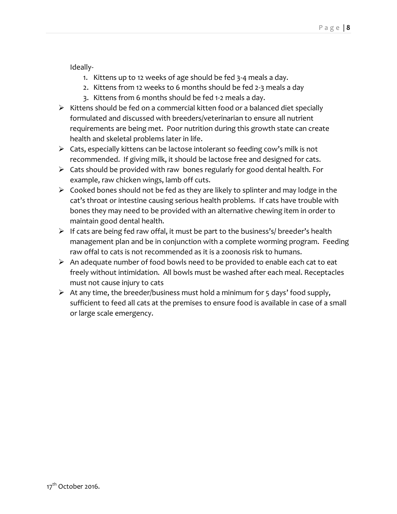Ideally-

- 1. Kittens up to 12 weeks of age should be fed 3-4 meals a day.
- 2. Kittens from 12 weeks to 6 months should be fed 2-3 meals a day
- 3. Kittens from 6 months should be fed 1-2 meals a day.
- $\triangleright$  Kittens should be fed on a commercial kitten food or a balanced diet specially formulated and discussed with breeders/veterinarian to ensure all nutrient requirements are being met. Poor nutrition during this growth state can create health and skeletal problems later in life.
- $\triangleright$  Cats, especially kittens can be lactose intolerant so feeding cow's milk is not recommended. If giving milk, it should be lactose free and designed for cats.
- $\triangleright$  Cats should be provided with raw bones regularly for good dental health. For example, raw chicken wings, lamb off cuts.
- $\triangleright$  Cooked bones should not be fed as they are likely to splinter and may lodge in the cat's throat or intestine causing serious health problems. If cats have trouble with bones they may need to be provided with an alternative chewing item in order to maintain good dental health.
- $\triangleright$  If cats are being fed raw offal, it must be part to the business's/ breeder's health management plan and be in conjunction with a complete worming program. Feeding raw offal to cats is not recommended as it is a zoonosis risk to humans.
- $\triangleright$  An adequate number of food bowls need to be provided to enable each cat to eat freely without intimidation. All bowls must be washed after each meal. Receptacles must not cause injury to cats
- $\triangleright$  At any time, the breeder/business must hold a minimum for 5 days' food supply, sufficient to feed all cats at the premises to ensure food is available in case of a small or large scale emergency.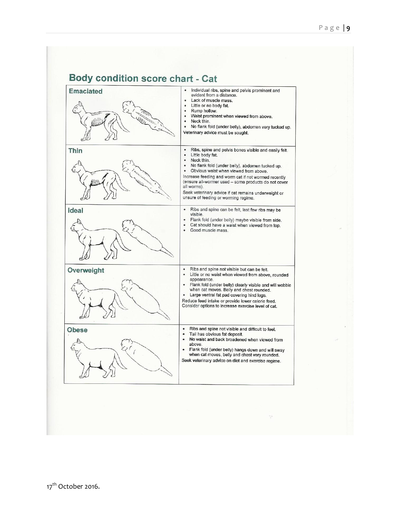#### **Body condition score chart - Cat**

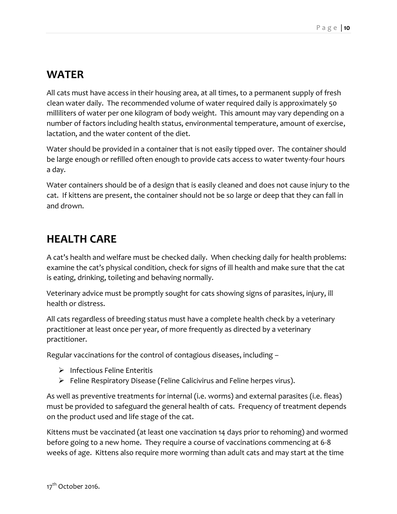#### **WATER**

All cats must have access in their housing area, at all times, to a permanent supply of fresh clean water daily. The recommended volume of water required daily is approximately 50 milliliters of water per one kilogram of body weight. This amount may vary depending on a number of factors including health status, environmental temperature, amount of exercise, lactation, and the water content of the diet.

Water should be provided in a container that is not easily tipped over. The container should be large enough or refilled often enough to provide cats access to water twenty-four hours a day.

Water containers should be of a design that is easily cleaned and does not cause injury to the cat. If kittens are present, the container should not be so large or deep that they can fall in and drown.

## **HEALTH CARE**

A cat's health and welfare must be checked daily. When checking daily for health problems: examine the cat's physical condition, check for signs of ill health and make sure that the cat is eating, drinking, toileting and behaving normally.

Veterinary advice must be promptly sought for cats showing signs of parasites, injury, ill health or distress.

All cats regardless of breeding status must have a complete health check by a veterinary practitioner at least once per year, of more frequently as directed by a veterinary practitioner.

Regular vaccinations for the control of contagious diseases, including –

- $\triangleright$  Infectious Feline Enteritis
- $\triangleright$  Feline Respiratory Disease (Feline Calicivirus and Feline herpes virus).

As well as preventive treatments for internal (i.e. worms) and external parasites (i.e. fleas) must be provided to safeguard the general health of cats. Frequency of treatment depends on the product used and life stage of the cat.

Kittens must be vaccinated (at least one vaccination 14 days prior to rehoming) and wormed before going to a new home. They require a course of vaccinations commencing at 6-8 weeks of age. Kittens also require more worming than adult cats and may start at the time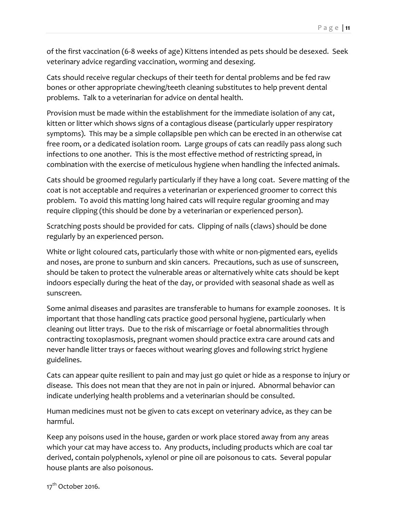of the first vaccination (6-8 weeks of age) Kittens intended as pets should be desexed. Seek veterinary advice regarding vaccination, worming and desexing.

Cats should receive regular checkups of their teeth for dental problems and be fed raw bones or other appropriate chewing/teeth cleaning substitutes to help prevent dental problems. Talk to a veterinarian for advice on dental health.

Provision must be made within the establishment for the immediate isolation of any cat, kitten or litter which shows signs of a contagious disease (particularly upper respiratory symptoms). This may be a simple collapsible pen which can be erected in an otherwise cat free room, or a dedicated isolation room. Large groups of cats can readily pass along such infections to one another. This is the most effective method of restricting spread, in combination with the exercise of meticulous hygiene when handling the infected animals.

Cats should be groomed regularly particularly if they have a long coat. Severe matting of the coat is not acceptable and requires a veterinarian or experienced groomer to correct this problem. To avoid this matting long haired cats will require regular grooming and may require clipping (this should be done by a veterinarian or experienced person).

Scratching posts should be provided for cats. Clipping of nails (claws) should be done regularly by an experienced person.

White or light coloured cats, particularly those with white or non-pigmented ears, eyelids and noses, are prone to sunburn and skin cancers. Precautions, such as use of sunscreen, should be taken to protect the vulnerable areas or alternatively white cats should be kept indoors especially during the heat of the day, or provided with seasonal shade as well as sunscreen.

Some animal diseases and parasites are transferable to humans for example zoonoses. It is important that those handling cats practice good personal hygiene, particularly when cleaning out litter trays. Due to the risk of miscarriage or foetal abnormalities through contracting toxoplasmosis, pregnant women should practice extra care around cats and never handle litter trays or faeces without wearing gloves and following strict hygiene guidelines.

Cats can appear quite resilient to pain and may just go quiet or hide as a response to injury or disease. This does not mean that they are not in pain or injured. Abnormal behavior can indicate underlying health problems and a veterinarian should be consulted.

Human medicines must not be given to cats except on veterinary advice, as they can be harmful.

Keep any poisons used in the house, garden or work place stored away from any areas which your cat may have access to. Any products, including products which are coal tar derived, contain polyphenols, xylenol or pine oil are poisonous to cats. Several popular house plants are also poisonous.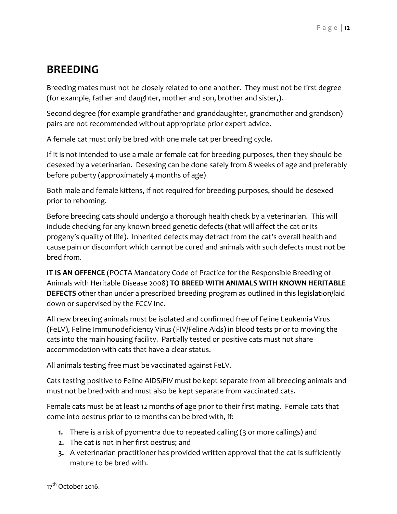#### **BREEDING**

Breeding mates must not be closely related to one another. They must not be first degree (for example, father and daughter, mother and son, brother and sister,).

Second degree (for example grandfather and granddaughter, grandmother and grandson) pairs are not recommended without appropriate prior expert advice.

A female cat must only be bred with one male cat per breeding cycle.

If it is not intended to use a male or female cat for breeding purposes, then they should be desexed by a veterinarian. Desexing can be done safely from 8 weeks of age and preferably before puberty (approximately 4 months of age)

Both male and female kittens, if not required for breeding purposes, should be desexed prior to rehoming.

Before breeding cats should undergo a thorough health check by a veterinarian. This will include checking for any known breed genetic defects (that will affect the cat or its progeny's quality of life). Inherited defects may detract from the cat's overall health and cause pain or discomfort which cannot be cured and animals with such defects must not be bred from.

**IT IS AN OFFENCE** (POCTA Mandatory Code of Practice for the Responsible Breeding of Animals with Heritable Disease 2008) **TO BREED WITH ANIMALS WITH KNOWN HERITABLE DEFECTS** other than under a prescribed breeding program as outlined in this legislation/laid down or supervised by the FCCV Inc.

All new breeding animals must be isolated and confirmed free of Feline Leukemia Virus (FeLV), Feline Immunodeficiency Virus (FIV/Feline Aids) in blood tests prior to moving the cats into the main housing facility. Partially tested or positive cats must not share accommodation with cats that have a clear status.

All animals testing free must be vaccinated against FeLV.

Cats testing positive to Feline AIDS/FIV must be kept separate from all breeding animals and must not be bred with and must also be kept separate from vaccinated cats.

Female cats must be at least 12 months of age prior to their first mating. Female cats that come into oestrus prior to 12 months can be bred with, if:

- **1.** There is a risk of pyomentra due to repeated calling (3 or more callings) and
- **2.** The cat is not in her first oestrus; and
- **3.** A veterinarian practitioner has provided written approval that the cat is sufficiently mature to be bred with.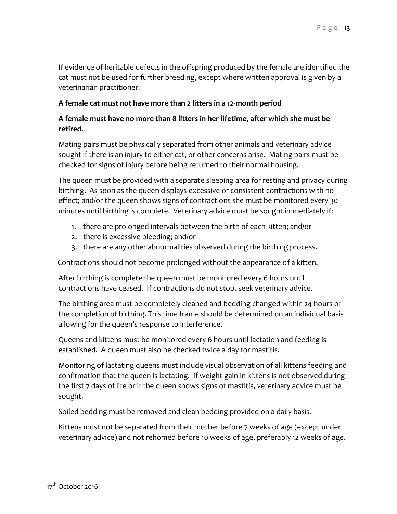If evidence of heritable defects in the offspring produced by the female are identified the cat must not be used for further breeding, except where written approval is given by a veterinarian practitioner.

#### **A female cat must not have more than 2 litters in a 12-month period**

#### **A female must have no more than 8 litters in her lifetime, after which she must be retired.**

Mating pairs must be physically separated from other animals and veterinary advice sought if there is an injury to either cat, or other concerns arise. Mating pairs must be checked for signs of injury before being returned to their normal housing.

The queen must be provided with a separate sleeping area for resting and privacy during birthing. As soon as the queen displays excessive or consistent contractions with no effect; and/or the queen shows signs of contractions she must be monitored every 30 minutes until birthing is complete. Veterinary advice must be sought immediately if:

- 1. there are prolonged intervals between the birth of each kitten; and/or
- 2. there is excessive bleeding; and/or
- 3. there are any other abnormalities observed during the birthing process.

Contractions should not become prolonged without the appearance of a kitten.

After birthing is complete the queen must be monitored every 6 hours until contractions have ceased. If contractions do not stop, seek veterinary advice.

The birthing area must be completely cleaned and bedding changed within 24 hours of the completion of birthing. This time frame should be determined on an individual basis allowing for the queen's response to interference.

Queens and kittens must be monitored every 6 hours until lactation and feeding is established. A queen must also be checked twice a day for mastitis.

Monitoring of lactating queens must include visual observation of all kittens feeding and confirmation that the queen is lactating. If weight gain in kittens is not observed during the first 7 days of life or if the queen shows signs of mastitis, veterinary advice must be sought.

Soiled bedding must be removed and clean bedding provided on a daily basis.

Kittens must not be separated from their mother before 7 weeks of age (except under veterinary advice) and not rehomed before 10 weeks of age, preferably 12 weeks of age.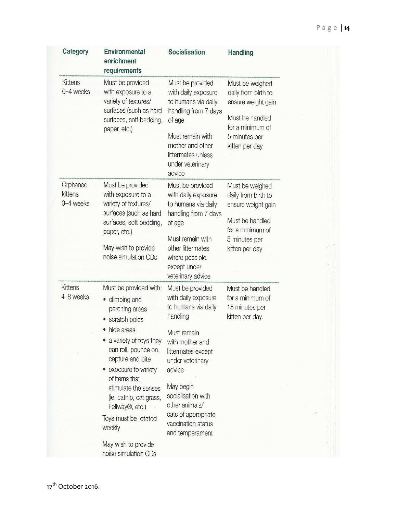| Category                         | <b>Environmental</b><br>enrichment<br>requirements                                                                                                                                                                                                                                                                                                                             | Socialisation                                                                                                                                                                                                                                                                         | Handling                                                                                                                               |
|----------------------------------|--------------------------------------------------------------------------------------------------------------------------------------------------------------------------------------------------------------------------------------------------------------------------------------------------------------------------------------------------------------------------------|---------------------------------------------------------------------------------------------------------------------------------------------------------------------------------------------------------------------------------------------------------------------------------------|----------------------------------------------------------------------------------------------------------------------------------------|
| <b>Kittens</b><br>0-4 weeks      | Must be provided<br>with exposure to a<br>variety of textures/<br>surfaces (such as hard<br>surfaces, soft bedding,<br>paper, etc.)                                                                                                                                                                                                                                            | Must be provided<br>with daily exposure<br>to humans via daily<br>handling from 7 days<br>of age<br>Must remain with<br>mother and other<br>littermates unless<br>under veterinary<br>advice                                                                                          | Must be weighed<br>daily from birth to<br>ensure weight gain<br>Must be handled<br>for a minimum of<br>5 minutes per<br>kitten per day |
| Orphaned<br>kittens<br>0-4 weeks | Must be provided<br>with exposure to a<br>variety of textures/<br>surfaces (such as hard<br>surfaces, soft bedding,<br>paper, etc.)<br>May wish to provide<br>noise simulation CDs                                                                                                                                                                                             | Must be provided<br>with daily exposure<br>to humans via daily<br>handling from 7 days<br>of age<br>Must remain with<br>other littermates<br>where possible,<br>except under<br>veterinary advice                                                                                     | Must be weighed<br>daily from birth to<br>ensure weight gain<br>Must be handled<br>for a minimum of<br>5 minutes per<br>kitten per day |
| <b>Kittens</b><br>4-8 weeks      | Must be provided with:<br>climbing and<br>۰<br>perching areas<br>scratch poles<br>hide areas<br>a variety of toys they<br>can roll, pounce on,<br>capture and bite<br>exposure to variety<br>of items that<br>stimulate the senses<br>(ie. catnip, cat grass,<br>Feliway <sup>®</sup> , etc.)<br>Toys must be rotated<br>weekly<br>May wish to provide<br>noise simulation CDs | Must be provided<br>with daily exposure<br>to humans via daily<br>handling<br>Must remain<br>with mother and<br>littermates except<br>under veterinary<br>advice<br>May begin<br>socialisation with<br>other animals/<br>cats of appropriate<br>vaccination status<br>and temperament | Must be handled<br>for a minimum of<br>15 minutes per<br>kitten per day.                                                               |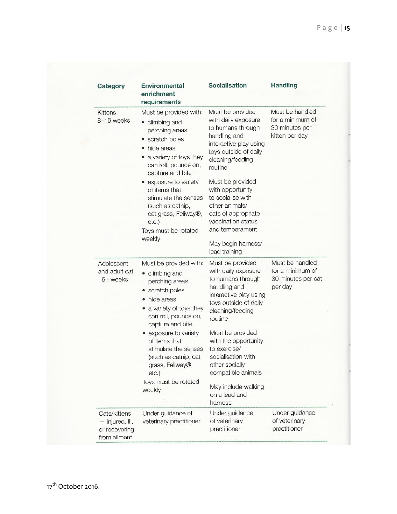| Category                                                         | <b>Environmental</b><br>enrichment<br>requirements                                                                                                                                                                                         | Socialisation                                                                                                                                                                                                              | <b>Handling</b>                                                         |
|------------------------------------------------------------------|--------------------------------------------------------------------------------------------------------------------------------------------------------------------------------------------------------------------------------------------|----------------------------------------------------------------------------------------------------------------------------------------------------------------------------------------------------------------------------|-------------------------------------------------------------------------|
| <b>Kittens</b><br>8-16 weeks                                     | Must be provided with:<br>• climbing and<br>perching areas<br>• scratch poles<br>• hide areas<br>a variety of toys they<br>can roll, pounce on,<br>capture and bite                                                                        | Must be provided<br>with daily exposure<br>to humans through<br>handling and<br>interactive play using<br>toys outside of daily<br>cleaning/feeding<br>routine                                                             | Must be handled<br>for a minimum of<br>30 minutes per<br>kitten per day |
|                                                                  | • exposure to variety<br>of items that<br>stimulate the senses<br>(such as catnip,<br>cat grass, Feliway®,<br>etc.)<br>Toys must be rotated<br>weekly                                                                                      | Must be provided<br>with opportunity<br>to socialise with<br>other animals/<br>cats of appropriate<br>vaccination status<br>and temperament<br>May begin harness/<br>lead training                                         |                                                                         |
| Adolescent<br>and adult cat<br>16+ weeks                         | Must be provided with:<br>• climbing and<br>perching areas<br>• scratch poles<br>• hide areas<br>a variety of toys they<br>۰<br>can roll, pounce on,<br>capture and bite<br>• exposure to variety<br>of items that<br>stimulate the senses | Must be provided<br>with daily exposure<br>to humans through<br>handling and<br>interactive play using<br>toys outside of daily<br>cleaning/feeding<br>routine<br>Must be provided<br>with the opportunity<br>to exercise/ | Must be handled<br>for a minimum of<br>30 minutes per cat<br>per day    |
|                                                                  | (such as catnip, cat<br>grass, Feliway®,<br>$etc.$ )<br>Toys must be rotated<br>weekly                                                                                                                                                     | socialisation with<br>other socially<br>compatible animals<br>May include walking<br>on a lead and<br>harness                                                                                                              |                                                                         |
| Cats/kittens<br>- injured, ill,<br>or recovering<br>from ailment | Under guidance of<br>veterinary practitioner                                                                                                                                                                                               | Under guidance<br>of veterinary<br>practitioner                                                                                                                                                                            | Under guidance<br>of veterinary<br>practitioner                         |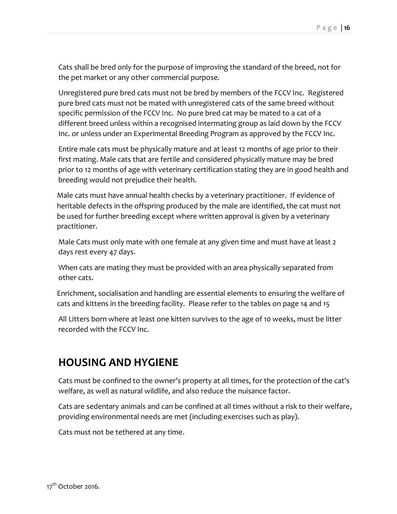Cats shall be bred only for the purpose of improving the standard of the breed, not for the pet market or any other commercial purpose.

Unregistered pure bred cats must not be bred by members of the FCCV Inc. Registered pure bred cats must not be mated with unregistered cats of the same breed without specific permission of the FCCV Inc. No pure bred cat may be mated to a cat of a different breed unless within a recognised intermating group as laid down by the FCCV Inc. or unless under an Experimental Breeding Program as approved by the FCCV Inc.

Entire male cats must be physically mature and at least 12 months of age prior to their first mating. Male cats that are fertile and considered physically mature may be bred prior to 12 months of age with veterinary certification stating they are in good health and breeding would not prejudice their health.

Male cats must have annual health checks by a veterinary practitioner. If evidence of heritable defects in the offspring produced by the male are identified, the cat must not be used for further breeding except where written approval is given by a veterinary practitioner.

Male Cats must only mate with one female at any given time and must have at least 2 days rest every 47 days.

When cats are mating they must be provided with an area physically separated from other cats.

Enrichment, socialisation and handling are essential elements to ensuring the welfare of cats and kittens in the breeding facility. Please refer to the tables on page 14 and 15

All Litters born where at least one kitten survives to the age of 10 weeks, must be litter recorded with the FCCV Inc.

## **HOUSING AND HYGIENE**

Cats must be confined to the owner's property at all times, for the protection of the cat's welfare, as well as natural wildlife, and also reduce the nuisance factor.

Cats are sedentary animals and can be confined at all times without a risk to their welfare, providing environmental needs are met (including exercises such as play).

Cats must not be tethered at any time.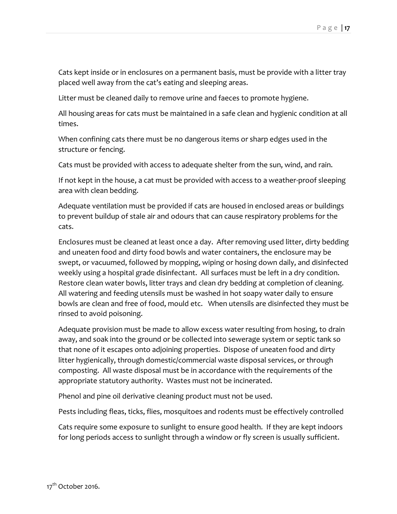Cats kept inside or in enclosures on a permanent basis, must be provide with a litter tray placed well away from the cat's eating and sleeping areas.

Litter must be cleaned daily to remove urine and faeces to promote hygiene.

All housing areas for cats must be maintained in a safe clean and hygienic condition at all times.

When confining cats there must be no dangerous items or sharp edges used in the structure or fencing.

Cats must be provided with access to adequate shelter from the sun, wind, and rain.

If not kept in the house, a cat must be provided with access to a weather-proof sleeping area with clean bedding.

Adequate ventilation must be provided if cats are housed in enclosed areas or buildings to prevent buildup of stale air and odours that can cause respiratory problems for the cats.

Enclosures must be cleaned at least once a day. After removing used litter, dirty bedding and uneaten food and dirty food bowls and water containers, the enclosure may be swept, or vacuumed, followed by mopping, wiping or hosing down daily, and disinfected weekly using a hospital grade disinfectant. All surfaces must be left in a dry condition. Restore clean water bowls, litter trays and clean dry bedding at completion of cleaning. All watering and feeding utensils must be washed in hot soapy water daily to ensure bowls are clean and free of food, mould etc. When utensils are disinfected they must be rinsed to avoid poisoning.

Adequate provision must be made to allow excess water resulting from hosing, to drain away, and soak into the ground or be collected into sewerage system or septic tank so that none of it escapes onto adjoining properties. Dispose of uneaten food and dirty litter hygienically, through domestic/commercial waste disposal services, or through composting. All waste disposal must be in accordance with the requirements of the appropriate statutory authority. Wastes must not be incinerated.

Phenol and pine oil derivative cleaning product must not be used.

Pests including fleas, ticks, flies, mosquitoes and rodents must be effectively controlled

Cats require some exposure to sunlight to ensure good health. If they are kept indoors for long periods access to sunlight through a window or fly screen is usually sufficient.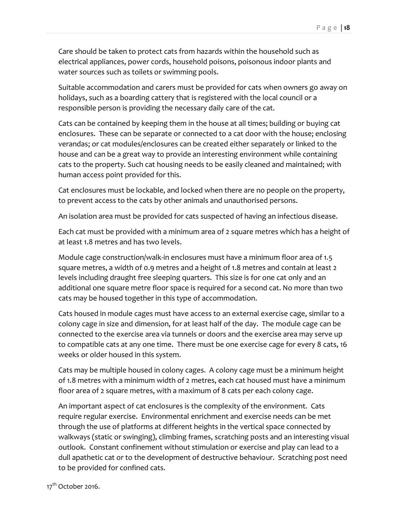Care should be taken to protect cats from hazards within the household such as electrical appliances, power cords, househ0ld poisons, poisonous indoor plants and water sources such as toilets or swimming pools.

Suitable accommodation and carers must be provided for cats when owners go away on holidays, such as a boarding cattery that is registered with the local council or a responsible person is providing the necessary daily care of the cat.

Cats can be contained by keeping them in the house at all times; building or buying cat enclosures. These can be separate or connected to a cat door with the house; enclosing verandas; or cat modules/enclosures can be created either separately or linked to the house and can be a great way to provide an interesting environment while containing cats to the property. Such cat housing needs to be easily cleaned and maintained; with human access point provided for this.

Cat enclosures must be lockable, and locked when there are no people on the property, to prevent access to the cats by other animals and unauthorised persons.

An isolation area must be provided for cats suspected of having an infectious disease.

Each cat must be provided with a minimum area of 2 square metres which has a height of at least 1.8 metres and has two levels.

Module cage construction/walk-in enclosures must have a minimum floor area of 1.5 square metres, a width of 0.9 metres and a height of 1.8 metres and contain at least 2 levels including draught free sleeping quarters. This size is for one cat only and an additional one square metre floor space is required for a second cat. No more than two cats may be housed together in this type of accommodation.

Cats housed in module cages must have access to an external exercise cage, similar to a colony cage in size and dimension, for at least half of the day. The module cage can be connected to the exercise area via tunnels or doors and the exercise area may serve up to compatible cats at any one time. There must be one exercise cage for every 8 cats, 16 weeks or older housed in this system.

Cats may be multiple housed in colony cages. A colony cage must be a minimum height of 1.8 metres with a minimum width of 2 metres, each cat housed must have a minimum floor area of 2 square metres, with a maximum of 8 cats per each colony cage.

An important aspect of cat enclosures is the complexity of the environment. Cats require regular exercise. Environmental enrichment and exercise needs can be met through the use of platforms at different heights in the vertical space connected by walkways (static or swinging), climbing frames, scratching posts and an interesting visual outlook. Constant confinement without stimulation or exercise and play can lead to a dull apathetic cat or to the development of destructive behaviour. Scratching post need to be provided for confined cats.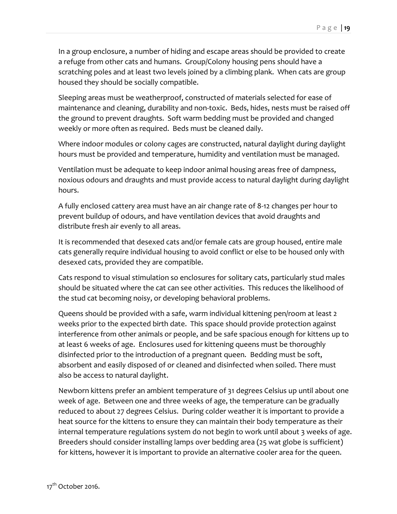In a group enclosure, a number of hiding and escape areas should be provided to create a refuge from other cats and humans. Group/Colony housing pens should have a scratching poles and at least two levels joined by a climbing plank. When cats are group housed they should be socially compatible.

Sleeping areas must be weatherproof, constructed of materials selected for ease of maintenance and cleaning, durability and non-toxic. Beds, hides, nests must be raised off the ground to prevent draughts. Soft warm bedding must be provided and changed weekly or more often as required. Beds must be cleaned daily.

Where indoor modules or colony cages are constructed, natural daylight during daylight hours must be provided and temperature, humidity and ventilation must be managed.

Ventilation must be adequate to keep indoor animal housing areas free of dampness, noxious odours and draughts and must provide access to natural daylight during daylight hours.

A fully enclosed cattery area must have an air change rate of 8-12 changes per hour to prevent buildup of odours, and have ventilation devices that avoid draughts and distribute fresh air evenly to all areas.

It is recommended that desexed cats and/or female cats are group housed, entire male cats generally require individual housing to avoid conflict or else to be housed only with desexed cats, provided they are compatible.

Cats respond to visual stimulation so enclosures for solitary cats, particularly stud males should be situated where the cat can see other activities. This reduces the likelihood of the stud cat becoming noisy, or developing behavioral problems.

Queens should be provided with a safe, warm individual kittening pen/room at least 2 weeks prior to the expected birth date. This space should provide protection against interference from other animals or people, and be safe spacious enough for kittens up to at least 6 weeks of age. Enclosures used for kittening queens must be thoroughly disinfected prior to the introduction of a pregnant queen. Bedding must be soft, absorbent and easily disposed of or cleaned and disinfected when soiled. There must also be access to natural daylight.

Newborn kittens prefer an ambient temperature of 31 degrees Celsius up until about one week of age. Between one and three weeks of age, the temperature can be gradually reduced to about 27 degrees Celsius. During colder weather it is important to provide a heat source for the kittens to ensure they can maintain their body temperature as their internal temperature regulations system do not begin to work until about 3 weeks of age. Breeders should consider installing lamps over bedding area (25 wat globe is sufficient) for kittens, however it is important to provide an alternative cooler area for the queen.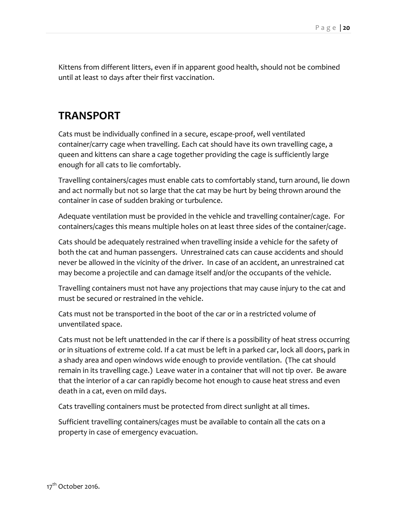Kittens from different litters, even if in apparent good health, should not be combined until at least 10 days after their first vaccination.

#### **TRANSPORT**

Cats must be individually confined in a secure, escape-proof, well ventilated container/carry cage when travelling. Each cat should have its own travelling cage, a queen and kittens can share a cage together providing the cage is sufficiently large enough for all cats to lie comfortably.

Travelling containers/cages must enable cats to comfortably stand, turn around, lie down and act normally but not so large that the cat may be hurt by being thrown around the container in case of sudden braking or turbulence.

Adequate ventilation must be provided in the vehicle and travelling container/cage. For containers/cages this means multiple holes on at least three sides of the container/cage.

Cats should be adequately restrained when travelling inside a vehicle for the safety of both the cat and human passengers. Unrestrained cats can cause accidents and should never be allowed in the vicinity of the driver. In case of an accident, an unrestrained cat may become a projectile and can damage itself and/or the occupants of the vehicle.

Travelling containers must not have any projections that may cause injury to the cat and must be secured or restrained in the vehicle.

Cats must not be transported in the boot of the car or in a restricted volume of unventilated space.

Cats must not be left unattended in the car if there is a possibility of heat stress occurring or in situations of extreme cold. If a cat must be left in a parked car, lock all doors, park in a shady area and open windows wide enough to provide ventilation. (The cat should remain in its travelling cage.) Leave water in a container that will not tip over. Be aware that the interior of a car can rapidly become hot enough to cause heat stress and even death in a cat, even on mild days.

Cats travelling containers must be protected from direct sunlight at all times.

Sufficient travelling containers/cages must be available to contain all the cats on a property in case of emergency evacuation.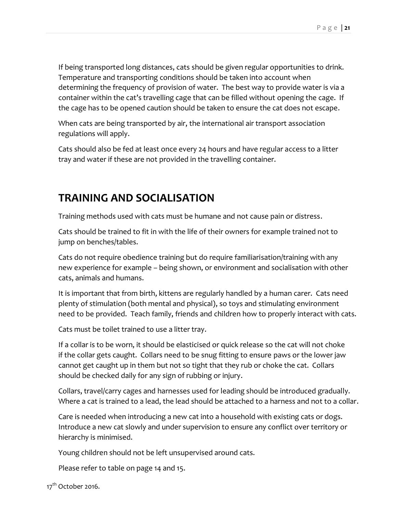If being transported long distances, cats should be given regular opportunities to drink. Temperature and transporting conditions should be taken into account when determining the frequency of provision of water. The best way to provide water is via a container within the cat's travelling cage that can be filled without opening the cage. If the cage has to be opened caution should be taken to ensure the cat does not escape.

When cats are being transported by air, the international air transport association regulations will apply.

Cats should also be fed at least once every 24 hours and have regular access to a litter tray and water if these are not provided in the travelling container.

#### **TRAINING AND SOCIALISATION**

Training methods used with cats must be humane and not cause pain or distress.

Cats should be trained to fit in with the life of their owners for example trained not to jump on benches/tables.

Cats do not require obedience training but do require familiarisation/training with any new experience for example – being shown, or environment and socialisation with other cats, animals and humans.

It is important that from birth, kittens are regularly handled by a human carer. Cats need plenty of stimulation (both mental and physical), so toys and stimulating environment need to be provided. Teach family, friends and children how to properly interact with cats.

Cats must be toilet trained to use a litter tray.

If a collar is to be worn, it should be elasticised or quick release so the cat will not choke if the collar gets caught. Collars need to be snug fitting to ensure paws or the lower jaw cannot get caught up in them but not so tight that they rub or choke the cat. Collars should be checked daily for any sign of rubbing or injury.

Collars, travel/carry cages and harnesses used for leading should be introduced gradually. Where a cat is trained to a lead, the lead should be attached to a harness and not to a collar.

Care is needed when introducing a new cat into a household with existing cats or dogs. Introduce a new cat slowly and under supervision to ensure any conflict over territory or hierarchy is minimised.

Young children should not be left unsupervised around cats.

Please refer to table on page 14 and 15.